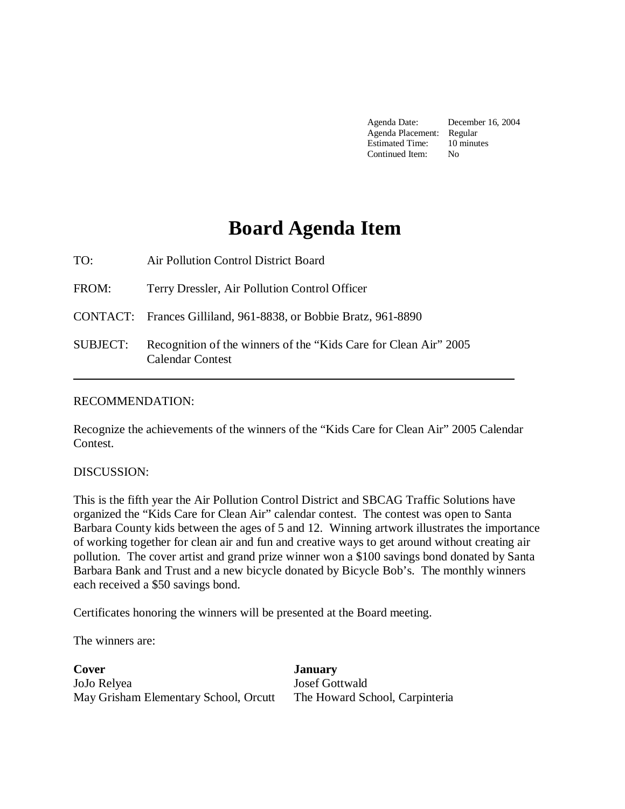Agenda Date: December 16, 2004 Agenda Placement: Regular Estimated Time: 10 minutes Continued Item: No

## **Board Agenda Item**

TO: Air Pollution Control District Board FROM: Terry Dressler, Air Pollution Control Officer CONTACT: Frances Gilliland, 961-8838, or Bobbie Bratz, 961-8890 SUBJECT: Recognition of the winners of the "Kids Care for Clean Air" 2005 Calendar Contest 

## RECOMMENDATION:

Recognize the achievements of the winners of the "Kids Care for Clean Air" 2005 Calendar Contest.

## DISCUSSION:

This is the fifth year the Air Pollution Control District and SBCAG Traffic Solutions have organized the "Kids Care for Clean Air" calendar contest. The contest was open to Santa Barbara County kids between the ages of 5 and 12. Winning artwork illustrates the importance of working together for clean air and fun and creative ways to get around without creating air pollution. The cover artist and grand prize winner won a \$100 savings bond donated by Santa Barbara Bank and Trust and a new bicycle donated by Bicycle Bob's. The monthly winners each received a \$50 savings bond.

Certificates honoring the winners will be presented at the Board meeting.

The winners are:

**Cover** January JoJo Relyea Josef Gottwald May Grisham Elementary School, Orcutt The Howard School, Carpinteria